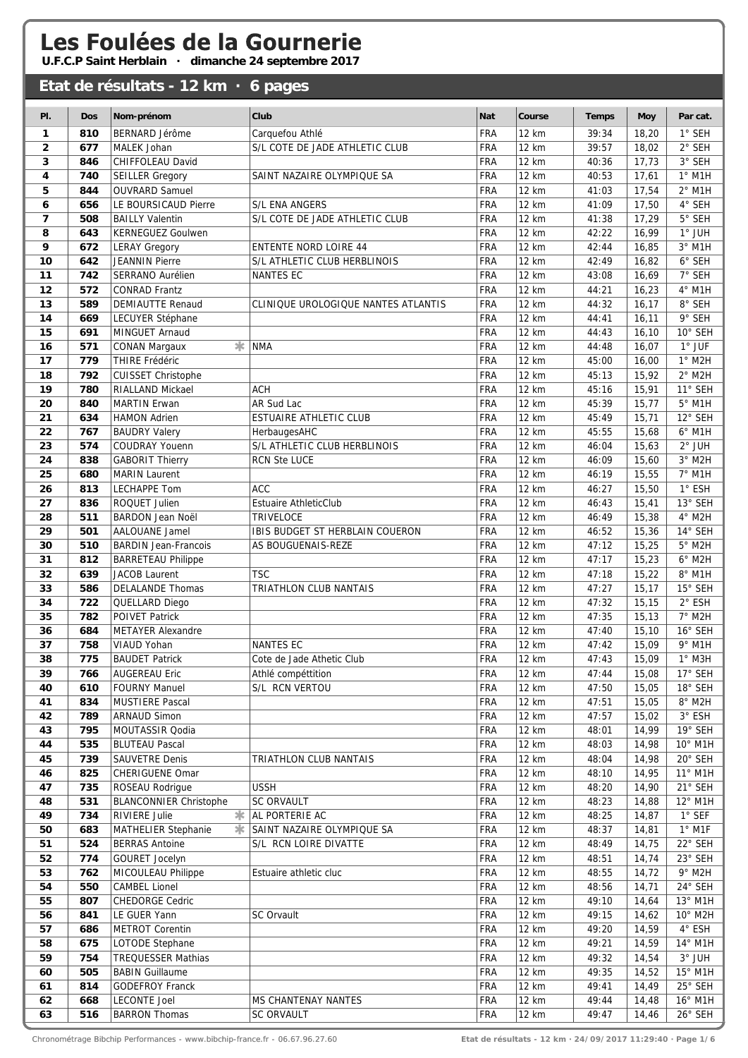## Les Foulées de la Gournerie<br>U.F.C.P Saint Herblain · dimanche 24 septembre 2017

## **Etat de résultats - 12 km · 6 pages**

| PI.                     | <b>Dos</b> | Nom-prénom                                        | Club                                | <b>Nat</b>               | Course                | <b>Temps</b>   | <b>Moy</b>     | Par cat.                   |
|-------------------------|------------|---------------------------------------------------|-------------------------------------|--------------------------|-----------------------|----------------|----------------|----------------------------|
| 1                       | 810        | <b>BERNARD Jérôme</b>                             | Carquefou Athlé                     | <b>FRA</b>               | 12 km                 | 39:34          | 18,20          | 1° SEH                     |
| $\overline{\mathbf{2}}$ | 677        | <b>MALEK Johan</b>                                | S/L COTE DE JADE ATHLETIC CLUB      | <b>FRA</b>               | <b>12 km</b>          | 39:57          | 18,02          | $2°$ SEH                   |
| 3                       | 846        | CHIFFOLEAU David                                  |                                     | <b>FRA</b>               | 12 km                 | 40:36          | 17,73          | 3° SEH                     |
| 4                       | 740        | <b>SEILLER Gregory</b>                            | SAINT NAZAIRE OLYMPIQUE SA          | FRA                      | 12 km                 | 40:53          | 17,61          | $1°$ M1H                   |
| 5                       | 844        | <b>OUVRARD Samuel</b>                             |                                     | <b>FRA</b>               | 12 km                 | 41:03          | 17,54          | $2°$ M1H                   |
| 6                       | 656        | LE BOURSICAUD Pierre                              | S/L ENA ANGERS                      | FRA                      | 12 km                 | 41:09          | 17,50          | 4° SEH                     |
| 7                       | 508        | <b>BAILLY Valentin</b>                            | S/L COTE DE JADE ATHLETIC CLUB      | FRA                      | 12 km                 | 41:38          | 17,29          | 5° SEH                     |
| 8                       | 643        | <b>KERNEGUEZ Goulwen</b>                          |                                     | <b>FRA</b>               | 12 km                 | 42:22          | 16,99          | $1^\circ$ JUH              |
| 9                       | 672        | <b>LERAY Gregory</b>                              | <b>ENTENTE NORD LOIRE 44</b>        | <b>FRA</b>               | 12 km                 | 42:44          | 16,85          | $3°$ M1H                   |
| 10                      | 642        | <b>JEANNIN Pierre</b>                             | S/L ATHLETIC CLUB HERBLINOIS        | <b>FRA</b>               | 12 km                 | 42:49          | 16,82          | 6° SEH                     |
| 11                      | 742        | SERRANO Aurélien                                  | <b>NANTES EC</b>                    | <b>FRA</b>               | 12 km                 | 43:08          | 16,69          | 7° SEH                     |
| 12                      | 572        | <b>CONRAD Frantz</b>                              |                                     | <b>FRA</b>               | 12 km                 | 44:21          | 16,23          | 4° M1H                     |
| 13                      | 589        | <b>DEMIAUTTE Renaud</b>                           | CLINIQUE UROLOGIQUE NANTES ATLANTIS | <b>FRA</b>               | 12 km                 | 44:32          | 16, 17         | 8° SEH                     |
| 14                      | 669        | LECUYER Stéphane                                  |                                     | FRA                      | 12 km                 | 44:41          | 16, 11         | 9° SEH                     |
| 15                      | 691        | MINGUET Arnaud                                    |                                     | <b>FRA</b>               | 12 km                 | 44:43          | 16, 10         | 10° SEH                    |
| 16                      | 571        | *<br><b>CONAN Margaux</b>                         | <b>NMA</b>                          | <b>FRA</b>               | <b>12 km</b>          | 44:48          | 16,07          | 1° JUF                     |
| 17                      | 779        | THIRE Frédéric                                    |                                     | FRA                      | 12 km                 | 45:00          | 16,00          | $1°$ M2H                   |
| 18                      | 792        | <b>CUISSET Christophe</b>                         |                                     | FRA                      | 12 km                 | 45:13          | 15,92          | $2^{\circ}$ M2H            |
| 19                      | 780        | RIALLAND Mickael                                  | <b>ACH</b>                          | <b>FRA</b>               | 12 km                 | 45:16          | 15,91          | 11° SEH                    |
| 20                      | 840        | <b>MARTIN Erwan</b>                               | AR Sud Lac                          | FRA                      | <b>12 km</b>          | 45:39          | 15,77          | $5^\circ$ M1H              |
| 21                      | 634        | <b>HAMON Adrien</b>                               | <b>ESTUAIRE ATHLETIC CLUB</b>       | <b>FRA</b>               | <b>12 km</b>          | 45:49          | 15,71          | 12° SEH                    |
| 22                      | 767        | <b>BAUDRY Valery</b>                              | HerbaugesAHC                        | FRA                      | 12 km                 | 45:55          | 15,68          | $6°$ M1H                   |
| 23                      | 574        | COUDRAY Youenn                                    | S/L ATHLETIC CLUB HERBLINOIS        | FRA                      | 12 km                 | 46:04          | 15,63          | $2^{\circ}$ JUH            |
| 24                      | 838        | <b>GABORIT Thierry</b>                            | <b>RCN Ste LUCE</b>                 | FRA                      | 12 km                 | 46:09          | 15,60          | $3°$ M2H                   |
| 25                      | 680        | <b>MARIN Laurent</b>                              |                                     | <b>FRA</b>               | 12 km                 | 46:19          | 15,55          | 7° M1H                     |
| 26                      | 813        | LECHAPPE Tom                                      | <b>ACC</b>                          | <b>FRA</b>               | 12 km                 | 46:27          | 15,50          | 1° ESH                     |
| 27                      | 836        | ROQUET Julien                                     | <b>Estuaire AthleticClub</b>        | FRA                      | 12 km                 | 46:43          | 15,41          | 13° SEH                    |
| 28                      | 511        | <b>BARDON Jean Noël</b>                           | <b>TRIVELOCE</b>                    | <b>FRA</b>               | 12 km                 | 46:49          | 15,38          | 4° M2H                     |
| 29<br>30                | 501<br>510 | <b>AALOUANE Jamel</b>                             | IBIS BUDGET ST HERBLAIN COUERON     | <b>FRA</b><br>FRA        | <b>12 km</b><br>12 km | 46:52<br>47:12 | 15,36<br>15,25 | 14° SEH<br>$5^{\circ}$ M2H |
| 31                      | 812        | <b>BARDIN Jean-Francois</b>                       | AS BOUGUENAIS-REZE                  | <b>FRA</b>               | 12 km                 | 47:17          | 15,23          | $6°$ M2H                   |
| 32                      | 639        | <b>BARRETEAU Philippe</b><br><b>JACOB Laurent</b> | <b>TSC</b>                          | <b>FRA</b>               | 12 km                 | 47:18          | 15,22          | 8° M1H                     |
| 33                      | 586        | DELALANDE Thomas                                  | TRIATHLON CLUB NANTAIS              | FRA                      | 12 km                 | 47:27          | 15, 17         | 15° SEH                    |
| 34                      | 722        | QUELLARD Diego                                    |                                     | <b>FRA</b>               | 12 km                 | 47:32          | 15, 15         | 2° ESH                     |
| 35                      | 782        | <b>POIVET Patrick</b>                             |                                     | <b>FRA</b>               | 12 km                 | 47:35          | 15,13          | 7° M2H                     |
| 36                      | 684        | <b>METAYER Alexandre</b>                          |                                     | <b>FRA</b>               | 12 km                 | 47:40          | 15,10          | 16° SEH                    |
| 37                      | 758        | VIAUD Yohan                                       | <b>NANTES EC</b>                    | FRA                      | 12 km                 | 47:42          | 15,09          | 9° M1H                     |
| 38                      | 775        | <b>BAUDET Patrick</b>                             | Cote de Jade Athetic Club           | <b>FRA</b>               | 12 km                 | 47:43          | 15,09          | $1^\circ$ M3H              |
| 39                      | 766        | <b>AUGEREAU Eric</b>                              | Athlé compéttition                  | <b>FRA</b>               | 12 km                 | 47:44          | 15,08          | 17° SEH                    |
| 40                      | 610        | <b>FOURNY Manuel</b>                              | S/L RCN VERTOU                      | <b>FRA</b>               | 12 km                 | 47:50          | 15,05          | 18° SEH                    |
| 41                      | 834        | <b>MUSTIERE Pascal</b>                            |                                     | <b>FRA</b>               | 12 km                 | 47:51          | 15,05          | $8^{\circ}$ M2H            |
| 42                      | 789        | <b>ARNAUD Simon</b>                               |                                     | <b>FRA</b>               | 12 km                 | 47:57          | 15,02          | $3^{\circ}$ ESH            |
| 43                      | 795        | MOUTASSIR Qodia                                   |                                     | <b>FRA</b>               | 12 km                 | 48:01          | 14,99          | 19° SEH                    |
| 44                      | 535        | <b>BLUTEAU Pascal</b>                             |                                     | <b>FRA</b>               | 12 km                 | 48:03          | 14,98          | 10° M1H                    |
| 45                      | 739        | SAUVETRE Denis                                    | TRIATHLON CLUB NANTAIS              | <b>FRA</b>               | 12 km                 | 48:04          | 14,98          | 20° SEH                    |
| 46                      | 825        | CHERIGUENE Omar                                   |                                     | <b>FRA</b>               | 12 km                 | 48:10          | 14,95          | 11° M1H                    |
| 47                      | 735        | ROSEAU Rodrigue                                   | <b>USSH</b>                         | <b>FRA</b>               | 12 km                 | 48:20          | 14,90          | 21° SEH                    |
| 48                      | 531        | <b>BLANCONNIER Christophe</b>                     | <b>SC ORVAULT</b>                   | <b>FRA</b>               | 12 km                 | 48:23          | 14,88          | 12° M1H                    |
| 49                      | 734        | *<br>RIVIERE Julie                                | AL PORTERIE AC                      | <b>FRA</b>               | 12 km                 | 48:25          | 14,87          | 1° SEF                     |
| 50                      | 683        | MATHELIER Stephanie<br>∗                          | SAINT NAZAIRE OLYMPIQUE SA          | <b>FRA</b>               | 12 km                 | 48:37          | 14,81          | $1^\circ$ M1F              |
| 51                      | 524        | <b>BERRAS Antoine</b>                             | S/L RCN LOIRE DIVATTE               | <b>FRA</b>               | 12 km                 | 48:49          | 14,75          | 22° SEH                    |
| 52                      | 774        | <b>GOURET Jocelyn</b>                             |                                     | <b>FRA</b>               | 12 km                 | 48:51          | 14,74          | 23° SEH                    |
| 53                      | 762        | MICOULEAU Philippe                                | Estuaire athletic cluc              | <b>FRA</b>               | 12 km                 | 48:55          | 14,72          | $9°$ M2H                   |
| 54                      | 550        | <b>CAMBEL Lionel</b>                              |                                     | <b>FRA</b>               | 12 km                 | 48:56          | 14,71          | 24° SEH                    |
| 55                      | 807        | CHEDORGE Cedric                                   | SC Orvault                          | <b>FRA</b>               | 12 km                 | 49:10          | 14,64          | 13° M1H                    |
| 56                      | 841        | LE GUER Yann                                      |                                     | <b>FRA</b><br><b>FRA</b> | 12 km<br>12 km        | 49:15<br>49:20 | 14,62          | 10° M2H<br>4° ESH          |
| 57<br>58                | 686<br>675 | <b>METROT Corentin</b><br>LOTODE Stephane         |                                     | <b>FRA</b>               | 12 km                 | 49:21          | 14,59<br>14,59 | 14° M1H                    |
| 59                      | 754        | <b>TREQUESSER Mathias</b>                         |                                     | <b>FRA</b>               | 12 km                 | 49:32          | 14,54          | $3^{\circ}$ JUH            |
| 60                      | 505        | <b>BABIN Guillaume</b>                            |                                     | <b>FRA</b>               | 12 km                 | 49:35          | 14,52          | 15° M1H                    |
| 61                      | 814        | <b>GODEFROY Franck</b>                            |                                     | <b>FRA</b>               | 12 km                 | 49:41          | 14,49          | 25° SEH                    |
| 62                      | 668        | <b>LECONTE Joel</b>                               | MS CHANTENAY NANTES                 | <b>FRA</b>               | 12 km                 | 49:44          | 14,48          | 16° M1H                    |
| 63                      | 516        | <b>BARRON Thomas</b>                              | <b>SC ORVAULT</b>                   | FRA                      | 12 km                 | 49:47          | 14,46          | 26° SEH                    |

Chronométrage Bibchip Performances - www.bibchip-france.fr - 06.67.96.27.60 **Etat de résultats - 12 km · 24/09/2017 11:29:40 · Page 1/6**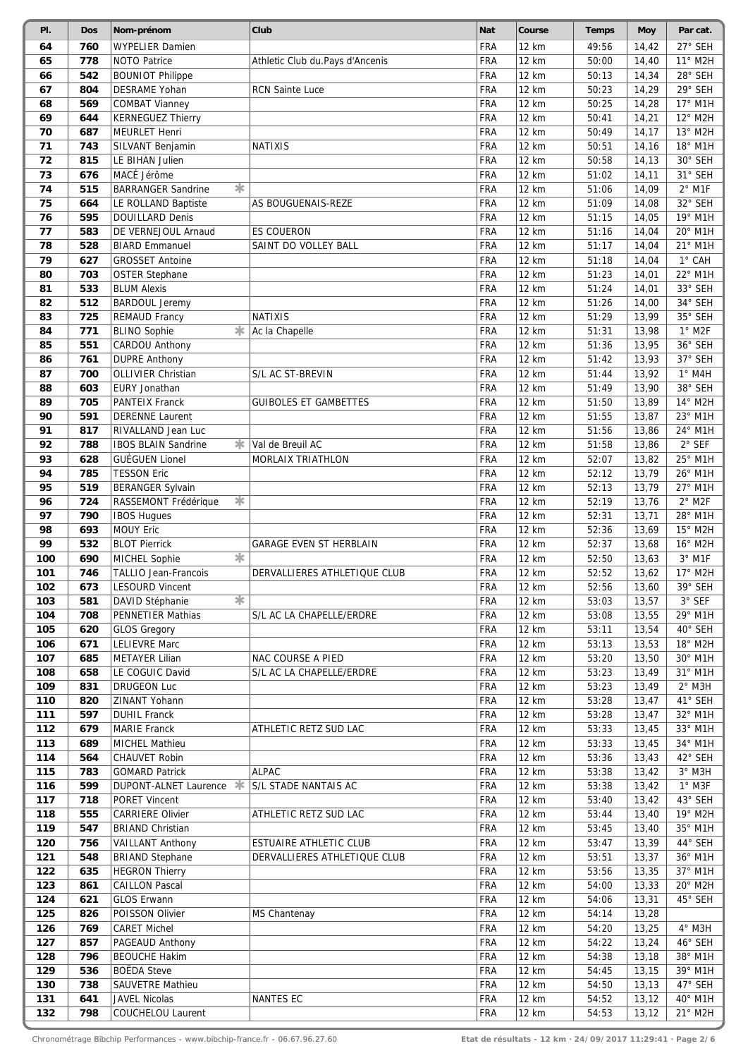| PI.        | <b>Dos</b> | Nom-prénom                                      | Club                            | <b>Nat</b>        | Course         | <b>Temps</b>   | <b>Moy</b>     | Par cat.              |
|------------|------------|-------------------------------------------------|---------------------------------|-------------------|----------------|----------------|----------------|-----------------------|
| 64         | 760        | <b>WYPELIER Damien</b>                          |                                 | FRA               | 12 km          | 49:56          | 14,42          | 27° SEH               |
| 65         | 778        | <b>NOTO Patrice</b>                             | Athletic Club du.Pays d'Ancenis | FRA               | <b>12 km</b>   | 50:00          | 14,40          | 11° M2H               |
| 66         | 542        | <b>BOUNIOT Philippe</b>                         |                                 | FRA               | 12 km          | 50:13          | 14,34          | 28° SEH               |
| 67         | 804        | DESRAME Yohan                                   | <b>RCN Sainte Luce</b>          | FRA               | 12 km          | 50:23          | 14,29          | 29° SEH               |
| 68         | 569        | <b>COMBAT Vianney</b>                           |                                 | FRA               | 12 km          | 50:25          | 14,28          | 17° M1H               |
| 69         | 644        | <b>KERNEGUEZ Thierry</b>                        |                                 | FRA               | 12 km          | 50:41          | 14,21          | 12° M2H               |
| 70         | 687        | <b>MEURLET Henri</b>                            |                                 | FRA               | 12 km          | 50:49          | 14,17          | 13° M2H               |
| 71         | 743        | SILVANT Benjamin                                | <b>NATIXIS</b>                  | FRA               | 12 km          | 50:51          | 14,16          | 18° M1H               |
| 72         | 815        | LE BIHAN Julien                                 |                                 | FRA               | <b>12 km</b>   | 50:58          | 14,13          | 30° SEH               |
| 73         | 676        | MACÉ Jérôme                                     |                                 | <b>FRA</b>        | 12 km          | 51:02          | 14,11          | 31° SEH               |
| 74         | 515        | *<br><b>BARRANGER Sandrine</b>                  |                                 | FRA               | 12 km          | 51:06          | 14,09          | $2°$ M1F              |
| 75         | 664        | LE ROLLAND Baptiste                             | AS BOUGUENAIS-REZE              | FRA               | 12 km          | 51:09          | 14,08          | 32° SEH               |
| 76         | 595        | <b>DOUILLARD Denis</b>                          |                                 | FRA               | 12 km          | 51:15          | 14,05          | 19° M1H               |
| 77         | 583        | DE VERNEJOUL Arnaud                             | <b>ES COUERON</b>               | FRA               | 12 km          | 51:16          | 14,04          | 20° M1H               |
| 78<br>79   | 528        | <b>BIARD Emmanuel</b>                           | SAINT DO VOLLEY BALL            | FRA<br>FRA        | 12 km<br>12 km | 51:17          | 14,04          | 21° M1H<br>1° CAH     |
| 80         | 627<br>703 | <b>GROSSET Antoine</b><br><b>OSTER Stephane</b> |                                 | FRA               | 12 km          | 51:18<br>51:23 | 14,04<br>14,01 | 22° M1H               |
| 81         | 533        | <b>BLUM Alexis</b>                              |                                 | FRA               | <b>12 km</b>   | 51:24          | 14,01          | 33° SEH               |
| 82         | 512        | <b>BARDOUL Jeremy</b>                           |                                 | <b>FRA</b>        | 12 km          | 51:26          | 14,00          | 34° SEH               |
| 83         | 725        | <b>REMAUD Francy</b>                            | <b>NATIXIS</b>                  | FRA               | 12 km          | 51:29          | 13,99          | 35° SEH               |
| 84         | 771        | <b>BLINO Sophie</b><br>*                        | Ac la Chapelle                  | FRA               | 12 km          | 51:31          | 13,98          | $1°$ M <sub>2</sub> F |
| 85         | 551        | CARDOU Anthony                                  |                                 | FRA               | 12 km          | 51:36          | 13,95          | 36° SEH               |
| 86         | 761        | <b>DUPRE Anthony</b>                            |                                 | FRA               | 12 km          | 51:42          | 13,93          | 37° SEH               |
| 87         | 700        | <b>OLLIVIER Christian</b>                       | S/L AC ST-BREVIN                | FRA               | 12 km          | 51:44          | 13,92          | $1°$ M4H              |
| 88         | 603        | EURY Jonathan                                   |                                 | FRA               | 12 km          | 51:49          | 13,90          | 38° SEH               |
| 89         | 705        | <b>PANTEIX Franck</b>                           | <b>GUIBOLES ET GAMBETTES</b>    | <b>FRA</b>        | 12 km          | 51:50          | 13,89          | 14° M2H               |
| 90         | 591        | <b>DERENNE Laurent</b>                          |                                 | <b>FRA</b>        | 12 km          | 51:55          | 13,87          | 23° M1H               |
| 91         | 817        | RIVALLAND Jean Luc                              |                                 | FRA               | 12 km          | 51:56          | 13,86          | 24° M1H               |
| 92         | 788        | *<br><b>IBOS BLAIN Sandrine</b>                 | Val de Breuil AC                | FRA               | 12 km          | 51:58          | 13,86          | $2°$ SEF              |
| 93         | 628        | <b>GUÉGUEN Lionel</b>                           | <b>MORLAIX TRIATHLON</b>        | FRA               | 12 km          | 52:07          | 13,82          | 25° M1H               |
| 94         | 785        | <b>TESSON Eric</b>                              |                                 | <b>FRA</b>        | 12 km          | 52:12          | 13,79          | 26° M1H               |
| 95         | 519        | <b>BERANGER Sylvain</b>                         |                                 | <b>FRA</b>        | 12 km          | 52:13          | 13,79          | 27° M1H               |
| 96         | 724        | 氺<br>RASSEMONT Frédérique                       |                                 | FRA               | 12 km          | 52:19          | 13,76          | $2°$ M2F              |
| 97         | 790        | <b>IBOS Hugues</b>                              |                                 | <b>FRA</b>        | 12 km          | 52:31          | 13,71          | 28° M1H               |
| 98         | 693        | <b>MOUY Eric</b>                                |                                 | FRA               | <b>12 km</b>   | 52:36          | 13,69          | 15° M2H               |
| 99         | 532        | <b>BLOT Pierrick</b>                            | <b>GARAGE EVEN ST HERBLAIN</b>  | <b>FRA</b>        | 12 km          | 52:37          | 13,68          | 16° M2H               |
| 100        | 690        | 宋<br>MICHEL Sophie                              |                                 | FRA               | 12 km          | 52:50          | 13,63          | $3°$ M1F              |
| 101        | 746        | TALLIO Jean-Francois                            | DERVALLIERES ATHLETIQUE CLUB    | FRA               | 12 km          | 52:52          | 13,62          | 17° M2H               |
| 102        | 673        | <b>LESOURD Vincent</b>                          |                                 | FRA               | 12 km          | 52:56          | 13,60          | 39° SEH               |
| 103        | 581        | 宋<br>DAVID Stéphanie                            |                                 | <b>FRA</b>        | 12 km          | 53:03          | 13,57          | $3^\circ$ SEF         |
| 104        | 708        | PENNETIER Mathias                               | S/L AC LA CHAPELLE/ERDRE        | <b>FRA</b>        | 12 km          | 53:08          | 13,55          | 29° M1H               |
| 105        | 620        | <b>GLOS Gregory</b>                             |                                 | <b>FRA</b>        | 12 km          | 53:11          | 13,54          | 40° SEH               |
| 106        | 671        | <b>LELIEVRE Marc</b>                            |                                 | FRA               | 12 km          | 53:13          | 13,53          | 18° M2H               |
| 107        | 685        | <b>METAYER Lilian</b>                           | NAC COURSE A PIED               | <b>FRA</b>        | 12 km          | 53:20          | 13,50          | 30° M1H               |
| 108        | 658        | LE COGUIC David                                 | S/L AC LA CHAPELLE/ERDRE        | <b>FRA</b>        | 12 km          | 53:23          | 13,49          | $31^{\circ}$ M1H      |
| 109        | 831        | <b>DRUGEON Luc</b>                              |                                 | <b>FRA</b>        | 12 km          | 53:23          | 13,49          | $2°$ M3H              |
| 110        | 820        | ZINANT Yohann                                   |                                 | <b>FRA</b>        | 12 km          | 53:28          | 13,47          | 41° SEH               |
| 111        | 597        | <b>DUHIL Franck</b>                             |                                 | <b>FRA</b>        | 12 km          | 53:28          | 13,47          | 32° M1H               |
| 112        | 679        | <b>MARIE Franck</b>                             | ATHLETIC RETZ SUD LAC           | <b>FRA</b>        | 12 km          | 53:33          | 13,45          | 33° M1H               |
| 113        | 689        | MICHEL Mathieu                                  |                                 | <b>FRA</b>        | 12 km          | 53:33          | 13,45          | 34° M1H               |
| 114        | 564        | CHAUVET Robin                                   |                                 | <b>FRA</b>        | 12 km          | 53:36          | 13,43          | 42° SEH               |
| 115        | 783        | <b>GOMARD Patrick</b>                           | <b>ALPAC</b>                    | <b>FRA</b>        | 12 km          | 53:38          | 13,42          | $3°$ M3H              |
| 116        | 599        | DUPONT-ALNET Laurence<br>氺                      | S/L STADE NANTAIS AC            | <b>FRA</b>        | 12 km          | 53:38          | 13,42          | $1^\circ$ M3F         |
| 117        | 718        | PORET Vincent                                   |                                 | <b>FRA</b>        | 12 km          | 53:40          | 13,42          | 43° SEH               |
| 118        | 555        | <b>CARRIERE Olivier</b>                         | ATHLETIC RETZ SUD LAC           | <b>FRA</b>        | 12 km          | 53:44          | 13,40          | 19° M2H               |
| 119        | 547        | <b>BRIAND Christian</b>                         |                                 | <b>FRA</b>        | 12 km          | 53:45          | 13,40          | 35° M1H               |
| 120        | 756        | <b>VAILLANT Anthony</b>                         | ESTUAIRE ATHLETIC CLUB          | <b>FRA</b>        | 12 km          | 53:47          | 13,39          | 44° SEH               |
| 121        | 548        | <b>BRIAND Stephane</b>                          | DERVALLIERES ATHLETIQUE CLUB    | FRA<br><b>FRA</b> | 12 km          | 53:51          | 13,37          | 36° M1H<br>37° M1H    |
| 122<br>123 | 635<br>861 | <b>HEGRON Thierry</b><br><b>CAILLON Pascal</b>  |                                 | <b>FRA</b>        | 12 km<br>12 km | 53:56<br>54:00 | 13,35<br>13,33 | 20° M2H               |
| 124        | 621        | <b>GLOS Erwann</b>                              |                                 | <b>FRA</b>        | 12 km          | 54:06          | 13,31          | 45° SEH               |
| 125        | 826        | POISSON Olivier                                 | MS Chantenay                    | <b>FRA</b>        | 12 km          | 54:14          |                |                       |
| 126        | 769        | <b>CARET Michel</b>                             |                                 | <b>FRA</b>        | 12 km          | 54:20          | 13,28<br>13,25 | $4^\circ$ M3H         |
| 127        | 857        | PAGEAUD Anthony                                 |                                 | <b>FRA</b>        | 12 km          | 54:22          | 13,24          | 46° SEH               |
| 128        | 796        | <b>BEOUCHE Hakim</b>                            |                                 | <b>FRA</b>        | 12 km          | 54:38          | 13,18          | 38° M1H               |
| 129        | 536        | <b>BOËDA Steve</b>                              |                                 | <b>FRA</b>        | 12 km          | 54:45          | 13,15          | 39° M1H               |
| 130        | 738        | SAUVETRE Mathieu                                |                                 | FRA               | 12 km          | 54:50          | 13,13          | 47° SEH               |
| 131        | 641        | <b>JAVEL Nicolas</b>                            | NANTES EC                       | <b>FRA</b>        | 12 km          | 54:52          | 13,12          | 40° M1H               |
| 132        | 798        | COUCHELOU Laurent                               |                                 | <b>FRA</b>        | 12 km          | 54:53          | 13,12          | 21° M2H               |
|            |            |                                                 |                                 |                   |                |                |                |                       |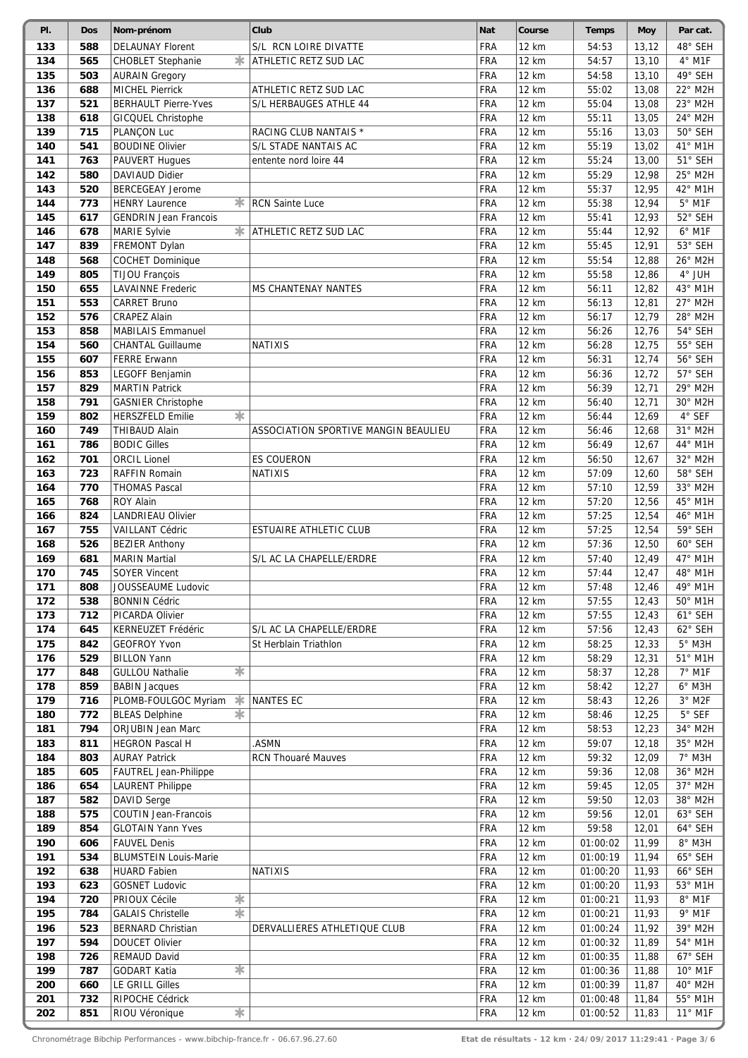| PI. | <b>Dos</b> | Nom-prénom                    | Club                                 | <b>Nat</b> | Course       | <b>Temps</b> | <b>Moy</b> | Par cat.         |
|-----|------------|-------------------------------|--------------------------------------|------------|--------------|--------------|------------|------------------|
| 133 | 588        | <b>DELAUNAY Florent</b>       | S/L RCN LOIRE DIVATTE                | <b>FRA</b> | 12 km        | 54:53        | 13,12      | 48° SEH          |
| 134 | 565        | 氺<br>CHOBLET Stephanie        | ATHLETIC RETZ SUD LAC                | FRA        | <b>12 km</b> | 54:57        | 13,10      | 4° M1F           |
| 135 | 503        | <b>AURAIN Gregory</b>         |                                      | <b>FRA</b> | 12 km        | 54:58        | 13,10      | 49° SEH          |
| 136 | 688        | <b>MICHEL Pierrick</b>        | ATHLETIC RETZ SUD LAC                | FRA        | 12 km        | 55:02        | 13,08      | 22° M2H          |
| 137 | 521        | <b>BERHAULT Pierre-Yves</b>   | S/L HERBAUGES ATHLE 44               | <b>FRA</b> | 12 km        | 55:04        | 13,08      | 23° M2H          |
| 138 | 618        | <b>GICQUEL Christophe</b>     |                                      | FRA        | 12 km        | 55:11        | 13,05      | 24° M2H          |
| 139 | 715        | PLANÇON Luc                   | RACING CLUB NANTAIS *                | <b>FRA</b> | 12 km        | 55:16        | 13,03      | 50° SEH          |
| 140 | 541        | <b>BOUDINE Olivier</b>        | S/L STADE NANTAIS AC                 | FRA        | 12 km        | 55:19        | 13,02      | 41° M1H          |
| 141 | 763        | PAUVERT Hugues                | entente nord loire 44                | FRA        | 12 km        | 55:24        | 13,00      | 51° SEH          |
| 142 | 580        | <b>DAVIAUD Didier</b>         |                                      | FRA        | 12 km        | 55:29        | 12,98      | 25° M2H          |
| 143 | 520        | <b>BERCEGEAY Jerome</b>       |                                      | FRA        | 12 km        | 55:37        | 12,95      | 42° M1H          |
| 144 | 773        | ∗<br><b>HENRY Laurence</b>    | <b>RCN Sainte Luce</b>               | FRA        | 12 km        | 55:38        | 12,94      | $5^\circ$ M1F    |
| 145 | 617        | <b>GENDRIN Jean Francois</b>  |                                      | <b>FRA</b> | 12 km        | 55:41        | 12,93      | 52° SEH          |
| 146 | 678        | MARIE Sylvie                  | <b>*</b> ATHLETIC RETZ SUD LAC       | FRA        | 12 km        | 55:44        | 12,92      | $6^\circ$ M1F    |
| 147 | 839        | FREMONT Dylan                 |                                      | <b>FRA</b> | 12 km        | 55:45        | 12,91      | 53° SEH          |
| 148 | 568        | <b>COCHET Dominique</b>       |                                      | FRA        | 12 km        | 55:54        | 12,88      | 26° M2H          |
| 149 | 805        | <b>TIJOU François</b>         |                                      | <b>FRA</b> | <b>12 km</b> | 55:58        | 12,86      | $4^{\circ}$ JUH  |
| 150 | 655        | <b>LAVAINNE Frederic</b>      | <b>MS CHANTENAY NANTES</b>           | <b>FRA</b> | <b>12 km</b> | 56:11        | 12,82      | 43° M1H          |
| 151 | 553        | <b>CARRET Bruno</b>           |                                      | <b>FRA</b> | 12 km        | 56:13        | 12,81      | 27° M2H          |
| 152 | 576        | <b>CRAPEZ Alain</b>           |                                      | <b>FRA</b> | 12 km        | 56:17        | 12,79      | 28° M2H          |
| 153 | 858        | <b>MABILAIS Emmanuel</b>      |                                      | <b>FRA</b> | 12 km        | 56:26        | 12,76      | 54° SEH          |
| 154 | 560        | <b>CHANTAL Guillaume</b>      | <b>NATIXIS</b>                       | FRA        | <b>12 km</b> | 56:28        | 12,75      | 55° SEH          |
| 155 | 607        | <b>FERRE Erwann</b>           |                                      | FRA        | 12 km        | 56:31        | 12,74      | 56° SEH          |
| 156 | 853        | LEGOFF Benjamin               |                                      | <b>FRA</b> | 12 km        | 56:36        | 12,72      | 57° SEH          |
| 157 | 829        | <b>MARTIN Patrick</b>         |                                      | <b>FRA</b> | 12 km        | 56:39        | 12,71      | 29° M2H          |
| 158 | 791        | <b>GASNIER Christophe</b>     |                                      | FRA        | 12 km        | 56:40        | 12,71      | 30° M2H          |
| 159 | 802        | *<br><b>HERSZFELD Emilie</b>  |                                      | FRA        | <b>12 km</b> | 56:44        | 12,69      | 4° SEF           |
| 160 | 749        | THIBAUD Alain                 | ASSOCIATION SPORTIVE MANGIN BEAULIEU | FRA        | 12 km        | 56:46        | 12,68      | 31° M2H          |
| 161 | 786        | <b>BODIC Gilles</b>           |                                      | FRA        | 12 km        | 56:49        | 12,67      | 44° M1H          |
| 162 | 701        | <b>ORCIL Lionel</b>           | ES COUERON                           | FRA        | 12 km        | 56:50        | 12,67      | 32° M2H          |
| 163 | 723        | RAFFIN Romain                 | <b>NATIXIS</b>                       | <b>FRA</b> | 12 km        | 57:09        | 12,60      | 58° SEH          |
| 164 | 770        | <b>THOMAS Pascal</b>          |                                      | <b>FRA</b> | 12 km        | 57:10        | 12,59      | 33° M2H          |
| 165 | 768        | <b>ROY Alain</b>              |                                      | FRA        | 12 km        | 57:20        | 12,56      | 45° M1H          |
| 166 | 824        | <b>LANDRIEAU Olivier</b>      |                                      | FRA        | 12 km        | 57:25        | 12,54      | 46° M1H          |
| 167 | 755        | <b>VAILLANT Cédric</b>        | <b>ESTUAIRE ATHLETIC CLUB</b>        | <b>FRA</b> | 12 km        | 57:25        | 12,54      | 59° SEH          |
| 168 | 526        | <b>BEZIER Anthony</b>         |                                      | FRA        | 12 km        | 57:36        | 12,50      | 60° SEH          |
| 169 | 681        | <b>MARIN</b> Martial          | S/L AC LA CHAPELLE/ERDRE             | <b>FRA</b> | 12 km        | 57:40        | 12,49      | 47° M1H          |
| 170 | 745        | <b>SOYER Vincent</b>          |                                      | <b>FRA</b> | 12 km        | 57:44        | 12,47      | 48° M1H          |
| 171 | 808        | <b>JOUSSEAUME Ludovic</b>     |                                      | <b>FRA</b> | 12 km        | 57:48        | 12,46      | 49° M1H          |
| 172 | 538        | <b>BONNIN Cédric</b>          |                                      | <b>FRA</b> | 12 km        | 57:55        | 12,43      | 50° M1H          |
| 173 | 712        | PICARDA Olivier               |                                      | <b>FRA</b> | 12 km        | 57:55        | 12,43      | 61° SEH          |
| 174 | 645        | KERNEUZET Frédéric            | S/L AC LA CHAPELLE/ERDRE             | <b>FRA</b> | 12 km        | 57:56        | 12,43      | 62° SEH          |
| 175 | 842        | <b>GEOFROY Yvon</b>           | St Herblain Triathlon                | <b>FRA</b> | 12 km        | 58:25        | 12,33      | $5^\circ$ M3H    |
| 176 | 529        | <b>BILLON Yann</b>            |                                      | FRA        | 12 km        | 58:29        | 12,31      | 51° M1H          |
| 177 | 848        | 氺<br><b>GULLOU Nathalie</b>   |                                      | <b>FRA</b> | 12 km        | 58:37        | 12,28      | $7°$ M1F         |
| 178 | 859        | <b>BABIN Jacques</b>          |                                      | <b>FRA</b> | 12 km        | 58:42        | 12,27      | $6^{\circ}$ M3H  |
| 179 | 716        | ∗<br>PLOMB-FOULGOC Myriam     | <b>NANTES EC</b>                     | <b>FRA</b> | 12 km        | 58:43        | 12,26      | $3°$ M2F         |
| 180 | 772        | 宋<br><b>BLEAS Delphine</b>    |                                      | <b>FRA</b> | 12 km        | 58:46        | 12,25      | $5^\circ$ SEF    |
| 181 | 794        | ORJUBIN Jean Marc             |                                      | <b>FRA</b> | 12 km        | 58:53        | 12,23      | 34° M2H          |
| 183 | 811        | <b>HEGRON Pascal H</b>        | .ASMN                                | FRA        | 12 km        | 59:07        | 12,18      | 35° M2H          |
| 184 | 803        | <b>AURAY Patrick</b>          | RCN Thouaré Mauves                   | FRA        | 12 km        | 59:32        | 12,09      | $7°$ M3H         |
| 185 | 605        | FAUTREL Jean-Philippe         |                                      | FRA        | 12 km        | 59:36        | 12,08      | 36° M2H          |
| 186 | 654        | <b>LAURENT Philippe</b>       |                                      | <b>FRA</b> | 12 km        | 59:45        | 12,05      | 37° M2H          |
| 187 | 582        | DAVID Serge                   |                                      | <b>FRA</b> | 12 km        | 59:50        | 12,03      | 38° M2H          |
| 188 | 575        | COUTIN Jean-Francois          |                                      | <b>FRA</b> | 12 km        | 59:56        | 12,01      | 63° SEH          |
| 189 | 854        | <b>GLOTAIN Yann Yves</b>      |                                      | <b>FRA</b> | 12 km        | 59:58        | 12,01      | 64° SEH          |
| 190 | 606        | <b>FAUVEL Denis</b>           |                                      | <b>FRA</b> | 12 km        | 01:00:02     | 11,99      | 8° M3H           |
| 191 | 534        | <b>BLUMSTEIN Louis-Marie</b>  |                                      | <b>FRA</b> | 12 km        | 01:00:19     | 11,94      | 65° SEH          |
| 192 | 638        | <b>HUARD Fabien</b>           | <b>NATIXIS</b>                       | FRA        | 12 km        | 01:00:20     | 11,93      | 66° SEH          |
| 193 | 623        | <b>GOSNET Ludovic</b>         |                                      | <b>FRA</b> | 12 km        | 01:00:20     | 11,93      | 53° M1H          |
| 194 | 720        | $\ast$<br>PRIOUX Cécile       |                                      | FRA        | 12 km        | 01:00:21     | 11,93      | $8^\circ$ M1F    |
| 195 | 784        | 末<br><b>GALAIS Christelle</b> |                                      | <b>FRA</b> | 12 km        | 01:00:21     | 11,93      | $9°$ M1F         |
| 196 | 523        | BERNARD Christian             | DERVALLIERES ATHLETIQUE CLUB         | <b>FRA</b> | 12 km        | 01:00:24     | 11,92      | 39° M2H          |
| 197 | 594        | <b>DOUCET Olivier</b>         |                                      | <b>FRA</b> | 12 km        | 01:00:32     | 11,89      | 54° M1H          |
| 198 | 726        | REMAUD David                  |                                      | <b>FRA</b> | 12 km        | 01:00:35     | 11,88      | 67° SEH          |
| 199 | 787        | *<br>GODART Katia             |                                      | <b>FRA</b> | 12 km        | 01:00:36     | 11,88      | 10° M1F          |
| 200 | 660        | LE GRILL Gilles               |                                      | <b>FRA</b> | 12 km        | 01:00:39     | 11,87      | 40° M2H          |
| 201 | 732        | RIPOCHE Cédrick               |                                      | <b>FRA</b> | 12 km        | 01:00:48     | 11,84      | 55° M1H          |
| 202 | 851        | $\ast$<br>RIOU Véronique      |                                      | <b>FRA</b> | 12 km        | 01:00:52     | 11,83      | $11^{\circ}$ M1F |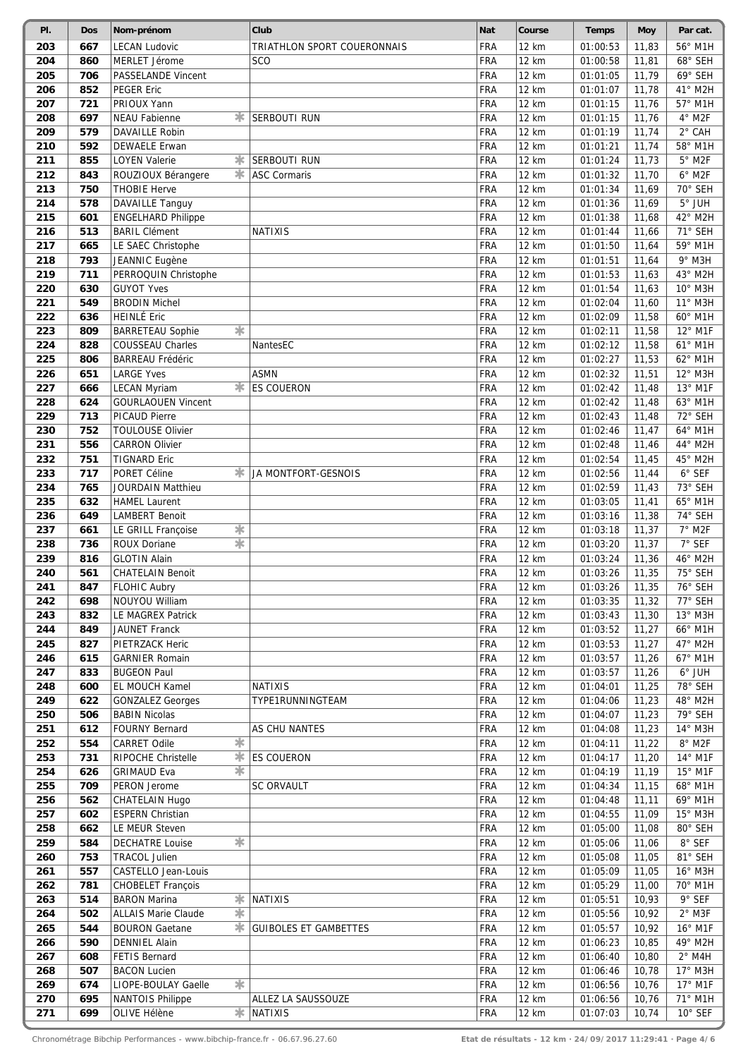| PI.        | <b>Dos</b> | Nom-prénom                                     | Club                         | <b>Nat</b>               | Course         | <b>Temps</b>         | Moy            | Par cat.                 |
|------------|------------|------------------------------------------------|------------------------------|--------------------------|----------------|----------------------|----------------|--------------------------|
| 203        | 667        | <b>LECAN Ludovic</b>                           | TRIATHLON SPORT COUERONNAIS  | <b>FRA</b>               | 12 km          | 01:00:53             | 11,83          | 56° M1H                  |
| 204        | 860        | MERLET Jérome                                  | <b>SCO</b>                   | <b>FRA</b>               | <b>12 km</b>   | 01:00:58             | 11,81          | 68° SEH                  |
| 205        | 706        | <b>PASSELANDE Vincent</b>                      |                              | FRA                      | 12 km          | 01:01:05             | 11,79          | 69° SEH                  |
| 206        | 852        | <b>PEGER Eric</b>                              |                              | FRA                      | <b>12 km</b>   | 01:01:07             | 11,78          | 41° M2H                  |
| 207        | 721        | PRIOUX Yann                                    |                              | FRA                      | 12 km          | 01:01:15             | 11,76          | 57° M1H                  |
| 208        | 697        | *<br><b>NEAU Fabienne</b>                      | <b>SERBOUTI RUN</b>          | FRA                      | 12 km          | 01:01:15             | 11,76          | $4°$ M2F                 |
| 209        | 579        | <b>DAVAILLE Robin</b>                          |                              | <b>FRA</b>               | 12 km          | 01:01:19             | 11,74          | 2° CAH                   |
| 210        | 592        | <b>DEWAELE Erwan</b>                           |                              | <b>FRA</b>               | 12 km          | 01:01:21             | 11,74          | 58° M1H                  |
| 211        | 855        | <b>LOYEN Valerie</b><br>氺                      | <b>SERBOUTI RUN</b>          | FRA                      | 12 km          | 01:01:24             | 11,73          | $5^{\circ}$ M2F          |
| 212        | 843        | *<br>ROUZIOUX Bérangere                        | <b>ASC Cormaris</b>          | FRA                      | 12 km          | 01:01:32             | 11,70          | $6°$ M2F                 |
| 213        | 750        | <b>THOBIE Herve</b>                            |                              | FRA                      | 12 km          | 01:01:34             | 11,69          | 70° SEH                  |
| 214        | 578        | <b>DAVAILLE Tanguy</b>                         |                              | FRA                      | 12 km          | 01:01:36             | 11,69          | $5^{\circ}$ JUH          |
| 215        | 601        | <b>ENGELHARD Philippe</b>                      |                              | <b>FRA</b>               | 12 km          | 01:01:38             | 11,68          | 42° M2H                  |
| 216        | 513        | <b>BARIL Clément</b>                           | <b>NATIXIS</b>               | FRA                      | 12 km          | 01:01:44             | 11,66          | 71° SEH<br>59° M1H       |
| 217<br>218 | 665        | LE SAEC Christophe                             |                              | FRA<br>FRA               | 12 km<br>12 km | 01:01:50             | 11,64          | 9° M3H                   |
| 219        | 793<br>711 | JEANNIC Eugène<br>PERROQUIN Christophe         |                              | FRA                      | 12 km          | 01:01:51<br>01:01:53 | 11,64<br>11,63 | 43° M2H                  |
| 220        | 630        | <b>GUYOT Yves</b>                              |                              | FRA                      | <b>12 km</b>   | 01:01:54             | 11,63          | 10° M3H                  |
| 221        | 549        | <b>BRODIN Michel</b>                           |                              | FRA                      | 12 km          | 01:02:04             | 11,60          | 11° M3H                  |
| 222        | 636        | <b>HEINLÉ Eric</b>                             |                              | FRA                      | <b>12 km</b>   | 01:02:09             | 11,58          | 60° M1H                  |
| 223        | 809        | 宋<br><b>BARRETEAU Sophie</b>                   |                              | <b>FRA</b>               | 12 km          | 01:02:11             | 11,58          | 12° M1F                  |
| 224        | 828        | COUSSEAU Charles                               | NantesEC                     | <b>FRA</b>               | 12 km          | 01:02:12             | 11,58          | 61° M1H                  |
| 225        | 806        | <b>BARREAU Frédéric</b>                        |                              | <b>FRA</b>               | 12 km          | 01:02:27             | 11,53          | 62° M1H                  |
| 226        | 651        | <b>LARGE Yves</b>                              | <b>ASMN</b>                  | <b>FRA</b>               | 12 km          | 01:02:32             | 11,51          | 12° M3H                  |
| 227        | 666        | *<br><b>LECAN Myriam</b>                       | <b>ES COUERON</b>            | FRA                      | 12 km          | 01:02:42             | 11,48          | 13° M1F                  |
| 228        | 624        | <b>GOURLAOUEN Vincent</b>                      |                              | FRA                      | 12 km          | 01:02:42             | 11,48          | 63° M1H                  |
| 229        | 713        | <b>PICAUD Pierre</b>                           |                              | FRA                      | 12 km          | 01:02:43             | 11,48          | 72° SEH                  |
| 230        | 752        | <b>TOULOUSE Olivier</b>                        |                              | FRA                      | 12 km          | 01:02:46             | 11,47          | 64° M1H                  |
| 231        | 556        | <b>CARRON Olivier</b>                          |                              | <b>FRA</b>               | 12 km          | 01:02:48             | 11,46          | 44° M2H                  |
| 232        | 751        | <b>TIGNARD Eric</b>                            |                              | FRA                      | 12 km          | 01:02:54             | 11,45          | 45° M2H                  |
| 233        | 717        | PORET Céline<br>ж                              | JA MONTFORT-GESNOIS          | FRA                      | 12 km          | 01:02:56             | 11,44          | 6° SEF                   |
| 234        | 765        | <b>JOURDAIN Matthieu</b>                       |                              | FRA                      | 12 km          | 01:02:59             | 11,43          | 73° SEH                  |
| 235        | 632        | <b>HAMEL Laurent</b>                           |                              | FRA                      | 12 km          | 01:03:05             | 11,41          | 65° M1H                  |
| 236        | 649        | <b>LAMBERT Benoit</b>                          |                              | <b>FRA</b>               | 12 km          | 01:03:16             | 11,38          | 74° SEH                  |
| 237        | 661        | $\frac{1}{2}$<br>LE GRILL Françoise            |                              | FRA                      | 12 km          | 01:03:18             | 11,37          | $7°$ M2F                 |
| 238        | 736        | 末<br><b>ROUX Doriane</b>                       |                              | FRA                      | 12 km          | 01:03:20             | 11,37          | 7° SEF                   |
| 239        | 816        | <b>GLOTIN Alain</b>                            |                              | <b>FRA</b>               | 12 km          | 01:03:24             | 11,36          | 46° M2H                  |
| 240        | 561        | <b>CHATELAIN Benoit</b>                        |                              | <b>FRA</b>               | 12 km          | 01:03:26             | 11,35          | 75° SEH                  |
| 241        | 847        | <b>FLOHIC Aubry</b>                            |                              | <b>FRA</b>               | 12 km          | 01:03:26             | 11,35          | 76° SEH                  |
| 242        | 698        | NOUYOU William                                 |                              | <b>FRA</b>               | 12 km          | 01:03:35             | 11,32          | 77° SEH                  |
| 243        | 832        | LE MAGREX Patrick                              |                              | <b>FRA</b>               | 12 km          | 01:03:43             | 11,30          | $13°$ M3H                |
| 244        | 849        | JAUNET Franck                                  |                              | FRA                      | 12 km          | 01:03:52             | 11,27          | 66° M1H                  |
| 245        | 827        | PIETRZACK Heric                                |                              | <b>FRA</b>               | 12 km          | 01:03:53             | 11,27          | 47° M2H                  |
| 246        | 615        | <b>GARNIER Romain</b>                          |                              | <b>FRA</b>               | 12 km          | 01:03:57             | 11,26          | 67° M1H                  |
| 247        | 833        | <b>BUGEON Paul</b>                             |                              | <b>FRA</b>               | 12 km          | 01:03:57             | 11,26          | $6^\circ$ JUH            |
| 248        | 600        | EL MOUCH Kamel                                 | <b>NATIXIS</b>               | <b>FRA</b>               | 12 km          | 01:04:01             | 11,25          | 78° SEH                  |
| 249        | 622        | <b>GONZALEZ Georges</b>                        | TYPE1RUNNINGTEAM             | <b>FRA</b>               | 12 km          | 01:04:06             | 11,23          | 48° M2H                  |
| 250        | 506        | <b>BABIN Nicolas</b>                           |                              | <b>FRA</b>               | 12 km          | 01:04:07             | 11,23          | 79° SEH                  |
| 251        | 612        | <b>FOURNY Bernard</b>                          | AS CHU NANTES                | <b>FRA</b>               | 12 km          | 01:04:08             | 11,23          | 14° M3H                  |
| 252        | 554        | *<br><b>CARRET Odile</b>                       |                              | <b>FRA</b>               | 12 km          | 01:04:11             | 11,22          | $8^{\circ}$ M2F          |
| 253        | 731        | *<br>RIPOCHE Christelle                        | <b>ES COUERON</b>            | FRA                      | 12 km          | 01:04:17             | 11,20          | 14° M1F                  |
| 254        | 626        | *<br><b>GRIMAUD Eva</b>                        |                              | <b>FRA</b>               | 12 km          | 01:04:19             | 11,19          | 15° M1F                  |
| 255        | 709        | PERON Jerome                                   | <b>SC ORVAULT</b>            | FRA                      | 12 km          | 01:04:34             | 11,15          | 68° M1H                  |
| 256        | 562        | CHATELAIN Hugo                                 |                              | <b>FRA</b>               | 12 km          | 01:04:48             | 11,11          | 69° M1H                  |
| 257        | 602        | <b>ESPERN Christian</b>                        |                              | <b>FRA</b><br><b>FRA</b> | 12 km          | 01:04:55             | 11,09          | $15^{\circ}$ M3H         |
| 258        | 662        | LE MEUR Steven<br>宋                            |                              |                          | 12 km          | 01:05:00             | 11,08          | 80° SEH<br>$8^\circ$ SEF |
| 259<br>260 | 584<br>753 | <b>DECHATRE Louise</b><br><b>TRACOL Julien</b> |                              | <b>FRA</b><br><b>FRA</b> | 12 km<br>12 km | 01:05:06<br>01:05:08 | 11,06          | 81° SEH                  |
| 261        | 557        | CASTELLO Jean-Louis                            |                              | <b>FRA</b>               | 12 km          | 01:05:09             | 11,05<br>11,05 | 16° M3H                  |
| 262        | 781        | <b>CHOBELET François</b>                       |                              | <b>FRA</b>               | 12 km          | 01:05:29             | 11,00          | 70° M1H                  |
| 263        | 514        | <b>BARON Marina</b>                            | <b><del></del></b> NATIXIS   | <b>FRA</b>               | 12 km          | 01:05:51             | 10,93          | 9° SEF                   |
| 264        | 502        | *<br><b>ALLAIS Marie Claude</b>                |                              | FRA                      | 12 km          | 01:05:56             | 10,92          | $2^{\circ}$ M3F          |
| 265        | 544        | ж.<br><b>BOURON Gaetane</b>                    | <b>GUIBOLES ET GAMBETTES</b> | FRA                      | 12 km          | 01:05:57             | 10,92          | 16° M1F                  |
| 266        | 590        | <b>DENNIEL Alain</b>                           |                              | <b>FRA</b>               | 12 km          | 01:06:23             | 10,85          | 49° M2H                  |
| 267        | 608        | FETIS Bernard                                  |                              | <b>FRA</b>               | 12 km          | 01:06:40             | 10,80          | $2^{\circ}$ M4H          |
| 268        | 507        | <b>BACON Lucien</b>                            |                              | <b>FRA</b>               | 12 km          | 01:06:46             | 10,78          | 17° M3H                  |
| 269        | 674        | 宋<br>LIOPE-BOULAY Gaelle                       |                              | <b>FRA</b>               | 12 km          | 01:06:56             | 10,76          | 17° M1F                  |
| 270        | 695        | <b>NANTOIS Philippe</b>                        | ALLEZ LA SAUSSOUZE           | FRA                      | 12 km          | 01:06:56             | 10,76          | 71° M1H                  |
| 271        | 699        | OLIVE Hélène                                   | $*$ NATIXIS                  | <b>FRA</b>               | 12 km          | 01:07:03             | 10,74          | 10° SEF                  |
|            |            |                                                |                              |                          |                |                      |                |                          |

Chronométrage Bibchip Performances - www.bibchip-france.fr - 06.67.96.27.60 **Etat de résultats - 12 km · 24/09/2017 11:29:41 · Page 4/6**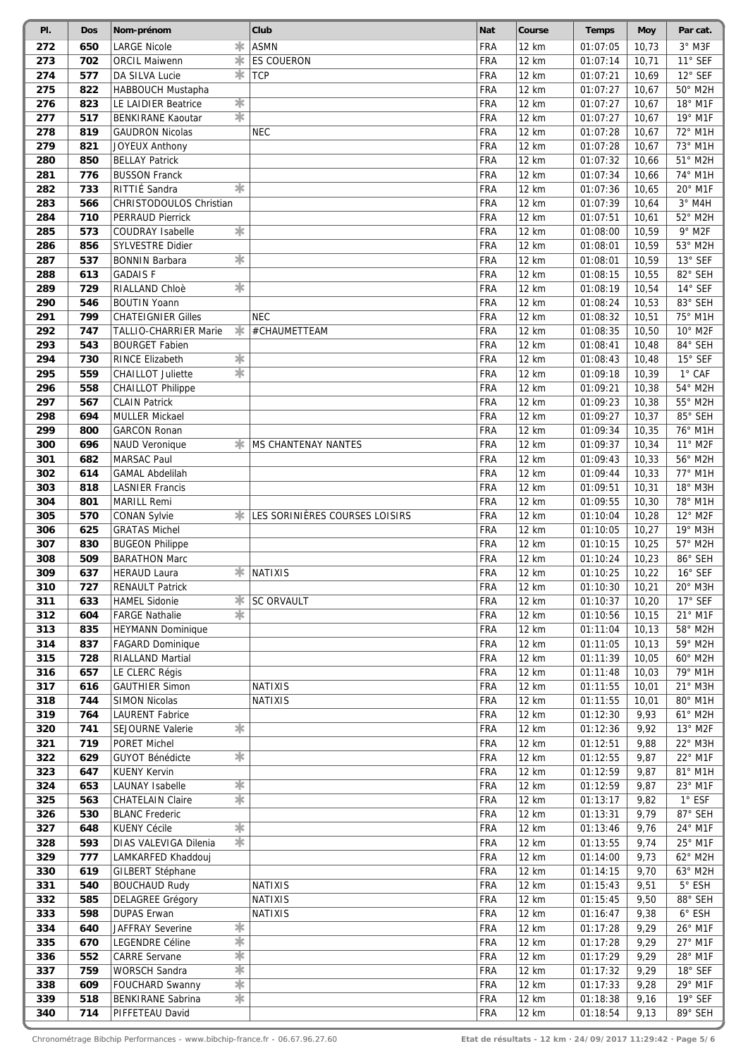| PI. | <b>Dos</b> | Nom-prénom                                    | Club                           | Nat        | Course       | <b>Temps</b> | <b>Moy</b> | Par cat.        |
|-----|------------|-----------------------------------------------|--------------------------------|------------|--------------|--------------|------------|-----------------|
| 272 | 650        | $\ast$<br><b>LARGE Nicole</b>                 | <b>ASMN</b>                    | <b>FRA</b> | 12 km        | 01:07:05     | 10,73      | 3° M3F          |
| 273 | 702        | *<br><b>ORCIL Maiwenn</b>                     | <b>ES COUERON</b>              | FRA        | 12 km        | 01:07:14     | 10,71      | 11° SEF         |
| 274 | 577        | *<br>DA SILVA Lucie                           | <b>TCP</b>                     | <b>FRA</b> | 12 km        | 01:07:21     | 10,69      | 12° SEF         |
| 275 | 822        | HABBOUCH Mustapha                             |                                | FRA        | 12 km        | 01:07:27     | 10,67      | 50° M2H         |
| 276 | 823        | $\overline{\ast}$<br>LE LAIDIER Beatrice      |                                | <b>FRA</b> | 12 km        | 01:07:27     | 10,67      | 18° M1F         |
| 277 | 517        | $\overline{\ast}$<br><b>BENKIRANE Kaoutar</b> |                                | FRA        | 12 km        | 01:07:27     | 10,67      | 19° M1F         |
| 278 | 819        | <b>GAUDRON Nicolas</b>                        | <b>NEC</b>                     | <b>FRA</b> | 12 km        | 01:07:28     | 10,67      | 72° M1H         |
| 279 | 821        | <b>JOYEUX Anthony</b>                         |                                | FRA        | <b>12 km</b> | 01:07:28     | 10,67      | 73° M1H         |
| 280 | 850        | <b>BELLAY Patrick</b>                         |                                | FRA        | 12 km        | 01:07:32     | 10,66      | 51° M2H         |
| 281 | 776        | <b>BUSSON Franck</b>                          |                                | <b>FRA</b> | 12 km        | 01:07:34     | 10,66      | 74° M1H         |
| 282 | 733        | *<br>RITTIÉ Sandra                            |                                | <b>FRA</b> | 12 km        | 01:07:36     | 10,65      | 20° M1F         |
| 283 | 566        | CHRISTODOULOS Christian                       |                                | FRA        | 12 km        | 01:07:39     | 10,64      | $3°$ M4H        |
| 284 | 710        | <b>PERRAUD Pierrick</b>                       |                                | <b>FRA</b> | 12 km        | 01:07:51     | 10,61      | 52° M2H         |
| 285 | 573        | $\ast$<br>COUDRAY Isabelle                    |                                | FRA        | 12 km        | 01:08:00     | 10,59      | 9° M2F          |
| 286 | 856        | SYLVESTRE Didier                              |                                | <b>FRA</b> | 12 km        | 01:08:01     | 10,59      | 53° M2H         |
| 287 | 537        | *<br><b>BONNIN Barbara</b>                    |                                | <b>FRA</b> | 12 km        | 01:08:01     | 10,59      | 13° SEF         |
| 288 | 613        | <b>GADAISF</b>                                |                                | <b>FRA</b> | 12 km        | 01:08:15     | 10,55      | 82° SEH         |
| 289 | 729        | ☀<br>RIALLAND Chloè                           |                                | <b>FRA</b> | 12 km        | 01:08:19     | 10,54      | 14° SEF         |
| 290 | 546        | <b>BOUTIN Yoann</b>                           |                                | <b>FRA</b> | 12 km        | 01:08:24     | 10,53      | 83° SEH         |
| 291 | 799        | <b>CHATEIGNIER Gilles</b>                     | <b>NEC</b>                     | FRA        | 12 km        | 01:08:32     | 10,51      | 75° M1H         |
| 292 | 747        | *<br>TALLIO-CHARRIER Marie                    | #CHAUMETTEAM                   | <b>FRA</b> | 12 km        | 01:08:35     | 10,50      | 10° M2F         |
| 293 | 543        | <b>BOURGET Fabien</b>                         |                                | FRA        | 12 km        | 01:08:41     | 10,48      | 84° SEH         |
| 294 | 730        | ☀<br><b>RINCE Elizabeth</b>                   |                                | FRA        | 12 km        | 01:08:43     | 10,48      | 15° SEF         |
| 295 | 559        | 宋<br><b>CHAILLOT Juliette</b>                 |                                | FRA        | 12 km        | 01:09:18     | 10,39      | $1°$ CAF        |
| 296 | 558        | <b>CHAILLOT Philippe</b>                      |                                | FRA        | 12 km        | 01:09:21     | 10,38      | 54° M2H         |
| 297 | 567        | <b>CLAIN Patrick</b>                          |                                | FRA        | 12 km        | 01:09:23     | 10,38      | 55° M2H         |
| 298 | 694        | MULLER Mickael                                |                                | FRA        | 12 km        | 01:09:27     | 10,37      | 85° SEH         |
| 299 | 800        | <b>GARCON Ronan</b>                           |                                | FRA        | 12 km        | 01:09:34     | 10,35      | 76° M1H         |
| 300 | 696        | Ж<br><b>NAUD Veronique</b>                    | <b>MS CHANTENAY NANTES</b>     | FRA        | 12 km        | 01:09:37     | 10,34      | 11° M2F         |
| 301 | 682        | MARSAC Paul                                   |                                | FRA        | 12 km        | 01:09:43     | 10,33      | 56° M2H         |
| 302 | 614        | <b>GAMAL Abdelilah</b>                        |                                | FRA        | 12 km        | 01:09:44     | 10,33      | 77° M1H         |
| 303 | 818        | <b>LASNIER Francis</b>                        |                                | FRA        | 12 km        | 01:09:51     | 10,31      | 18° M3H         |
| 304 | 801        | <b>MARILL Remi</b>                            |                                | FRA        | 12 km        | 01:09:55     | 10,30      | 78° M1H         |
| 305 | 570        | <b>CONAN Sylvie</b>                           | LES SORINIÈRES COURSES LOISIRS | FRA        | <b>12 km</b> | 01:10:04     | 10,28      | 12° M2F         |
| 306 | 625        | <b>GRATAS Michel</b>                          |                                | FRA        | 12 km        | 01:10:05     | 10,27      | 19° M3H         |
| 307 | 830        | <b>BUGEON Philippe</b>                        |                                | FRA        | 12 km        | 01:10:15     | 10,25      | 57° M2H         |
| 308 | 509        | <b>BARATHON Marc</b>                          |                                | FRA        | 12 km        | 01:10:24     | 10,23      | 86° SEH         |
| 309 | 637        | <b>HERAUD Laura</b>                           | <b>*</b> NATIXIS               | <b>FRA</b> | 12 km        | 01:10:25     | 10,22      | 16° SEF         |
| 310 | 727        | <b>RENAULT Patrick</b>                        |                                | <b>FRA</b> | 12 km        | 01:10:30     | 10,21      | 20° M3H         |
| 311 | 633        | <b>HAMEL Sidonie</b>                          | <b><del></del></b> SC ORVAULT  | <b>FRA</b> | 12 km        | 01:10:37     | 10,20      | 17° SEF         |
| 312 | 604        | *<br><b>FARGE Nathalie</b>                    |                                | <b>FRA</b> | 12 km        | 01:10:56     | 10, 15     | 21° M1F         |
| 313 | 835        | <b>HEYMANN Dominique</b>                      |                                | FRA        | 12 km        | 01:11:04     | 10, 13     | 58° M2H         |
| 314 | 837        | FAGARD Dominique                              |                                | FRA        | 12 km        | 01:11:05     | 10, 13     | 59° M2H         |
| 315 | 728        | RIALLAND Martial                              |                                | <b>FRA</b> | 12 km        | 01:11:39     | 10,05      | 60° M2H         |
| 316 | 657        | LE CLERC Régis                                |                                | <b>FRA</b> | 12 km        | 01:11:48     | 10,03      | 79° M1H         |
| 317 | 616        | <b>GAUTHIER Simon</b>                         | <b>NATIXIS</b>                 | FRA        | 12 km        | 01:11:55     | 10,01      | 21° M3H         |
| 318 | 744        | <b>SIMON Nicolas</b>                          | <b>NATIXIS</b>                 | <b>FRA</b> | 12 km        | 01:11:55     | 10,01      | 80° M1H         |
| 319 | 764        | <b>LAURENT Fabrice</b>                        |                                | <b>FRA</b> | 12 km        | 01:12:30     | 9,93       | 61° M2H         |
| 320 | 741        | $\ast$<br>SEJOURNE Valerie                    |                                | <b>FRA</b> | 12 km        | 01:12:36     | 9,92       | 13° M2F         |
| 321 | 719        | PORET Michel                                  |                                | <b>FRA</b> | 12 km        | 01:12:51     | 9,88       | 22° M3H         |
| 322 | 629        | $\overline{\ast}$<br><b>GUYOT Bénédicte</b>   |                                | <b>FRA</b> | 12 km        | 01:12:55     | 9,87       | 22° M1F         |
| 323 | 647        | <b>KUENY Kervin</b>                           |                                | <b>FRA</b> | 12 km        | 01:12:59     | 9,87       | 81° M1H         |
| 324 | 653        | ☀<br><b>LAUNAY Isabelle</b>                   |                                | <b>FRA</b> | 12 km        | 01:12:59     | 9,87       | 23° M1F         |
| 325 | 563        | $\frac{1}{2}$<br><b>CHATELAIN Claire</b>      |                                | <b>FRA</b> | 12 km        | 01:13:17     | 9,82       | $1^\circ$ ESF   |
| 326 | 530        | <b>BLANC Frederic</b>                         |                                | <b>FRA</b> | 12 km        | 01:13:31     | 9,79       | 87° SEH         |
| 327 | 648        | $\overline{\ast}$<br><b>KUENY Cécile</b>      |                                | <b>FRA</b> | 12 km        | 01:13:46     | 9,76       | 24° M1F         |
| 328 | 593        | 宋<br>DIAS VALEVIGA Dilenia                    |                                | <b>FRA</b> | 12 km        | 01:13:55     | 9,74       | 25° M1F         |
| 329 | 777        | LAMKARFED Khaddouj                            |                                | FRA        | <b>12 km</b> | 01:14:00     | 9,73       | 62° M2H         |
| 330 | 619        | GILBERT Stéphane                              |                                | <b>FRA</b> | 12 km        | 01:14:15     | 9,70       | 63° M2H         |
| 331 | 540        | <b>BOUCHAUD Rudy</b>                          | <b>NATIXIS</b>                 | <b>FRA</b> | 12 km        | 01:15:43     | 9,51       | 5° ESH          |
| 332 | 585        | <b>DELAGREE Grégory</b>                       | <b>NATIXIS</b>                 | <b>FRA</b> | 12 km        | 01:15:45     | 9,50       | 88° SEH         |
| 333 | 598        | <b>DUPAS Erwan</b>                            | <b>NATIXIS</b>                 | <b>FRA</b> | 12 km        | 01:16:47     | 9,38       | $6^{\circ}$ ESH |
| 334 | 640        | 氺<br>JAFFRAY Severine                         |                                | <b>FRA</b> | 12 km        | 01:17:28     | 9,29       | 26° M1F         |
| 335 | 670        | $\overline{\ast}$<br>LEGENDRE Céline          |                                | <b>FRA</b> | 12 km        | 01:17:28     | 9,29       | 27° M1F         |
| 336 | 552        | $\overline{\ast}$<br><b>CARRE Servane</b>     |                                | <b>FRA</b> | 12 km        | 01:17:29     | 9,29       | 28° M1F         |
| 337 | 759        | 宋<br><b>WORSCH Sandra</b>                     |                                | <b>FRA</b> | 12 km        | 01:17:32     | 9,29       | 18° SEF         |
| 338 | 609        | $\frac{1}{\sqrt{2}}$<br>FOUCHARD Swanny       |                                | <b>FRA</b> | 12 km        | 01:17:33     | 9,28       | 29° M1F         |
| 339 | 518        | 宋<br><b>BENKIRANE Sabrina</b>                 |                                | <b>FRA</b> | 12 km        | 01:18:38     | 9,16       | 19° SEF         |
| 340 | 714        | PIFFETEAU David                               |                                | <b>FRA</b> | 12 km        | 01:18:54     | 9,13       | 89° SEH         |